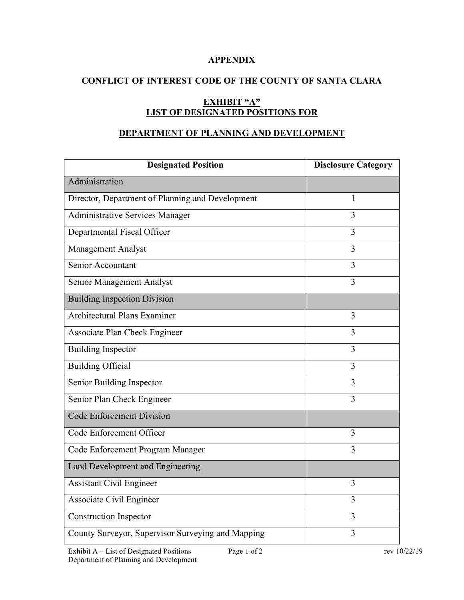## **APPENDIX**

# **CONFLICT OF INTEREST CODE OF THE COUNTY OF SANTA CLARA**

# **EXHIBIT "A" LIST OF DESIGNATED POSITIONS FOR**

### **DEPARTMENT OF PLANNING AND DEVELOPMENT**

| <b>Designated Position</b>                        | <b>Disclosure Category</b> |
|---------------------------------------------------|----------------------------|
| Administration                                    |                            |
| Director, Department of Planning and Development  | 1                          |
| <b>Administrative Services Manager</b>            | 3                          |
| Departmental Fiscal Officer                       | 3                          |
| Management Analyst                                | 3                          |
| Senior Accountant                                 | 3                          |
| Senior Management Analyst                         | 3                          |
| <b>Building Inspection Division</b>               |                            |
| <b>Architectural Plans Examiner</b>               | 3                          |
| Associate Plan Check Engineer                     | 3                          |
| <b>Building Inspector</b>                         | 3                          |
| <b>Building Official</b>                          | $\overline{3}$             |
| Senior Building Inspector                         | $\overline{3}$             |
| Senior Plan Check Engineer                        | $\overline{3}$             |
| <b>Code Enforcement Division</b>                  |                            |
| Code Enforcement Officer                          | 3                          |
| Code Enforcement Program Manager                  | $\overline{3}$             |
| Land Development and Engineering                  |                            |
| <b>Assistant Civil Engineer</b>                   | 3                          |
| Associate Civil Engineer                          | $\overline{3}$             |
| <b>Construction Inspector</b>                     | 3                          |
| County Surveyor, Supervisor Surveying and Mapping | $\overline{3}$             |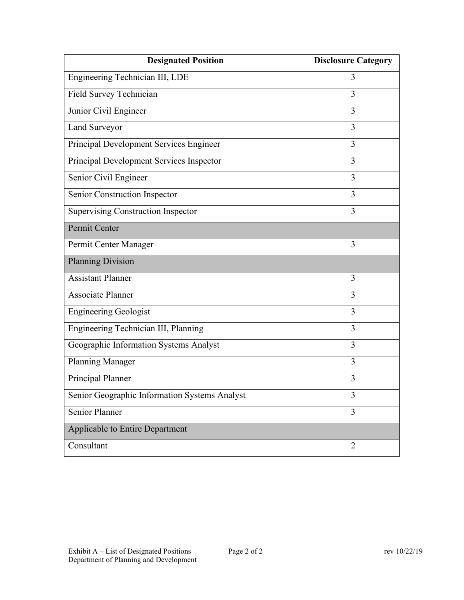| <b>Designated Position</b>                    | <b>Disclosure Category</b> |
|-----------------------------------------------|----------------------------|
| Engineering Technician III, LDE               | 3                          |
| Field Survey Technician                       | 3                          |
| Junior Civil Engineer                         | 3                          |
| Land Surveyor                                 | 3                          |
| Principal Development Services Engineer       | 3                          |
| Principal Development Services Inspector      | 3                          |
| Senior Civil Engineer                         | 3                          |
| Senior Construction Inspector                 | 3                          |
| <b>Supervising Construction Inspector</b>     | 3                          |
| Permit Center                                 |                            |
| Permit Center Manager                         | 3                          |
| <b>Planning Division</b>                      |                            |
| <b>Assistant Planner</b>                      | 3                          |
| <b>Associate Planner</b>                      | 3                          |
| <b>Engineering Geologist</b>                  | 3                          |
| Engineering Technician III, Planning          | 3                          |
| Geographic Information Systems Analyst        | 3                          |
| <b>Planning Manager</b>                       | 3                          |
| Principal Planner                             | $\overline{3}$             |
| Senior Geographic Information Systems Analyst | 3                          |
| Senior Planner                                | 3                          |
| Applicable to Entire Department               |                            |
| Consultant                                    | $\overline{2}$             |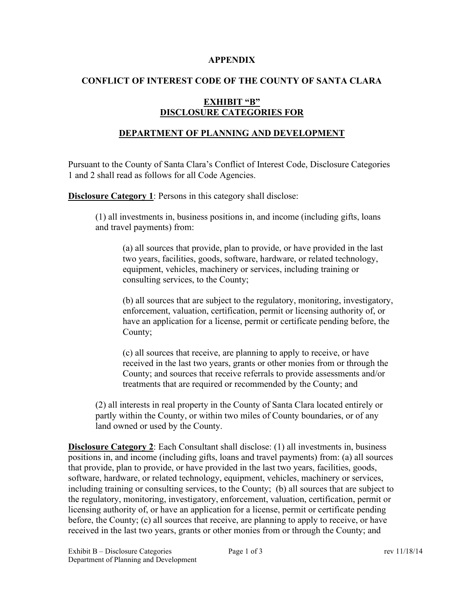#### **APPENDIX**

### **CONFLICT OF INTEREST CODE OF THE COUNTY OF SANTA CLARA**

### **EXHIBIT "B" DISCLOSURE CATEGORIES FOR**

# **DEPARTMENT OF PLANNING AND DEVELOPMENT**

Pursuant to the County of Santa Clara's Conflict of Interest Code, Disclosure Categories 1 and 2 shall read as follows for all Code Agencies.

**Disclosure Category 1:** Persons in this category shall disclose:

(1) all investments in, business positions in, and income (including gifts, loans and travel payments) from:

(a) all sources that provide, plan to provide, or have provided in the last two years, facilities, goods, software, hardware, or related technology, equipment, vehicles, machinery or services, including training or consulting services, to the County;

(b) all sources that are subject to the regulatory, monitoring, investigatory, enforcement, valuation, certification, permit or licensing authority of, or have an application for a license, permit or certificate pending before, the County;

(c) all sources that receive, are planning to apply to receive, or have received in the last two years, grants or other monies from or through the County; and sources that receive referrals to provide assessments and/or treatments that are required or recommended by the County; and

(2) all interests in real property in the County of Santa Clara located entirely or partly within the County, or within two miles of County boundaries, or of any land owned or used by the County.

**Disclosure Category 2**: Each Consultant shall disclose: (1) all investments in, business positions in, and income (including gifts, loans and travel payments) from: (a) all sources that provide, plan to provide, or have provided in the last two years, facilities, goods, software, hardware, or related technology, equipment, vehicles, machinery or services, including training or consulting services, to the County; (b) all sources that are subject to the regulatory, monitoring, investigatory, enforcement, valuation, certification, permit or licensing authority of, or have an application for a license, permit or certificate pending before, the County; (c) all sources that receive, are planning to apply to receive, or have received in the last two years, grants or other monies from or through the County; and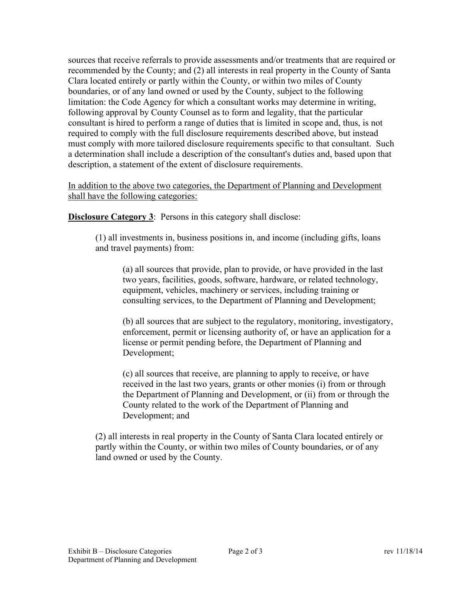sources that receive referrals to provide assessments and/or treatments that are required or recommended by the County; and (2) all interests in real property in the County of Santa Clara located entirely or partly within the County, or within two miles of County boundaries, or of any land owned or used by the County, subject to the following limitation: the Code Agency for which a consultant works may determine in writing, following approval by County Counsel as to form and legality, that the particular consultant is hired to perform a range of duties that is limited in scope and, thus, is not required to comply with the full disclosure requirements described above, but instead must comply with more tailored disclosure requirements specific to that consultant. Such a determination shall include a description of the consultant's duties and, based upon that description, a statement of the extent of disclosure requirements.

In addition to the above two categories, the Department of Planning and Development shall have the following categories:

**Disclosure Category 3:** Persons in this category shall disclose:

(1) all investments in, business positions in, and income (including gifts, loans and travel payments) from:

(a) all sources that provide, plan to provide, or have provided in the last two years, facilities, goods, software, hardware, or related technology, equipment, vehicles, machinery or services, including training or consulting services, to the Department of Planning and Development;

(b) all sources that are subject to the regulatory, monitoring, investigatory, enforcement, permit or licensing authority of, or have an application for a license or permit pending before, the Department of Planning and Development;

(c) all sources that receive, are planning to apply to receive, or have received in the last two years, grants or other monies (i) from or through the Department of Planning and Development, or (ii) from or through the County related to the work of the Department of Planning and Development; and

(2) all interests in real property in the County of Santa Clara located entirely or partly within the County, or within two miles of County boundaries, or of any land owned or used by the County.